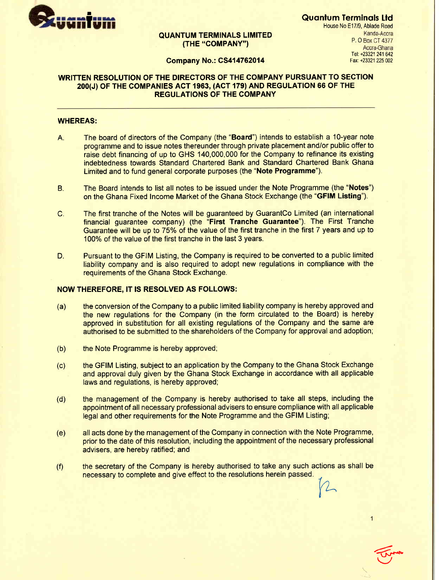

# QUANTUM TERMINALS LIMITED THE "COMPANY") P. O Box CT 4377

Quantum Terminals Ltd House No E17l9, Ablade Road Kanda-Accra Accra-Ghana Tel: +23321 241 642<br>Company No.: CS414762014 January 2014 1237 1245 002

# WRITTEN RESOLUTION OF THE DIRECTORS OF THE COMPANY PURSUANT TO SECTION 200(J) oF THE COMPANIES AGT 1963, (ACT 179) AND REGULATION 66 OF THE REGULATIONS OF THE COMPANY

#### WHEREAS:

- A. The board of directors of the Company (the "Board") intends to establish a 1O-year note programme and to issue notes thereunder through private placement andior public offer to raise debt financing of up to GHS 140,000,000 for the Company to refinance its existing indebtedness towards Standard Chartered Bank and Standard Chartered Bank Ghana Limited and to fund general corporate purposes (the "Note Programme").
- B. The Board intends to list all notes to be issued under the Note Programme (the "Notes") on the Ghana Fixed Income Market of the Ghana Stock Exchange (the "GFIM Listing").
- C. The first tranche of the Notes will be guaranteed by GuarantCo Limited (an international financial guarantee company) (the "First Tranche Guarantee"). The First Tranche Guarantee will be up to 75% of the value of the first tranche in the first 7 years and up to 100% of the value of the first tranche in the last 3 years.
- D. Pursuant to the GFIM Listing, the Company is required to be converted to a public limited liability company and is also required to adopt new regulations in compliance with the requirements of the Ghana Stock Exchange.

### NOW THEREFORE, IT IS RESOLVED AS FOLLOWS:

- (a) the conversion of the Company to a public limited liability company is hereby approved and the new regulations for the Company (in the form circulated to the Board) is hereby approved in substitution for all existing regulations of the Company and the same are authorised to be submitted to the shareholders of the Company for approval and adoption,
- (b) the Note Programme is hereby approved;
- (c) the GFIM Listing, subject to an application by the Company to the Ghana Stock Exchange and approval duly given by the Ghana Stock Exchange in accordance with all applicable laws and regulations, is hereby approved;
- (d) the management of the Company is hereby authorised to take all steps, including the appointment of all necessary professional advisers to ensure compliance with all applicable legal and other requirements for the Note Programme and the GFIM Listing;
- (e) all acts done by the management of the Company in connection with the Note Programme, prior to the date of this resolution, including the appointment of the necessary professional advisers, are hereby ratified; and
- (f) the secretary of the Company is hereby authorised to take any such actions as shall be necessary to complete and give effect to the resolutions herein passed.

l/)  $\sqrt{2}$ V

**Elizabeth**